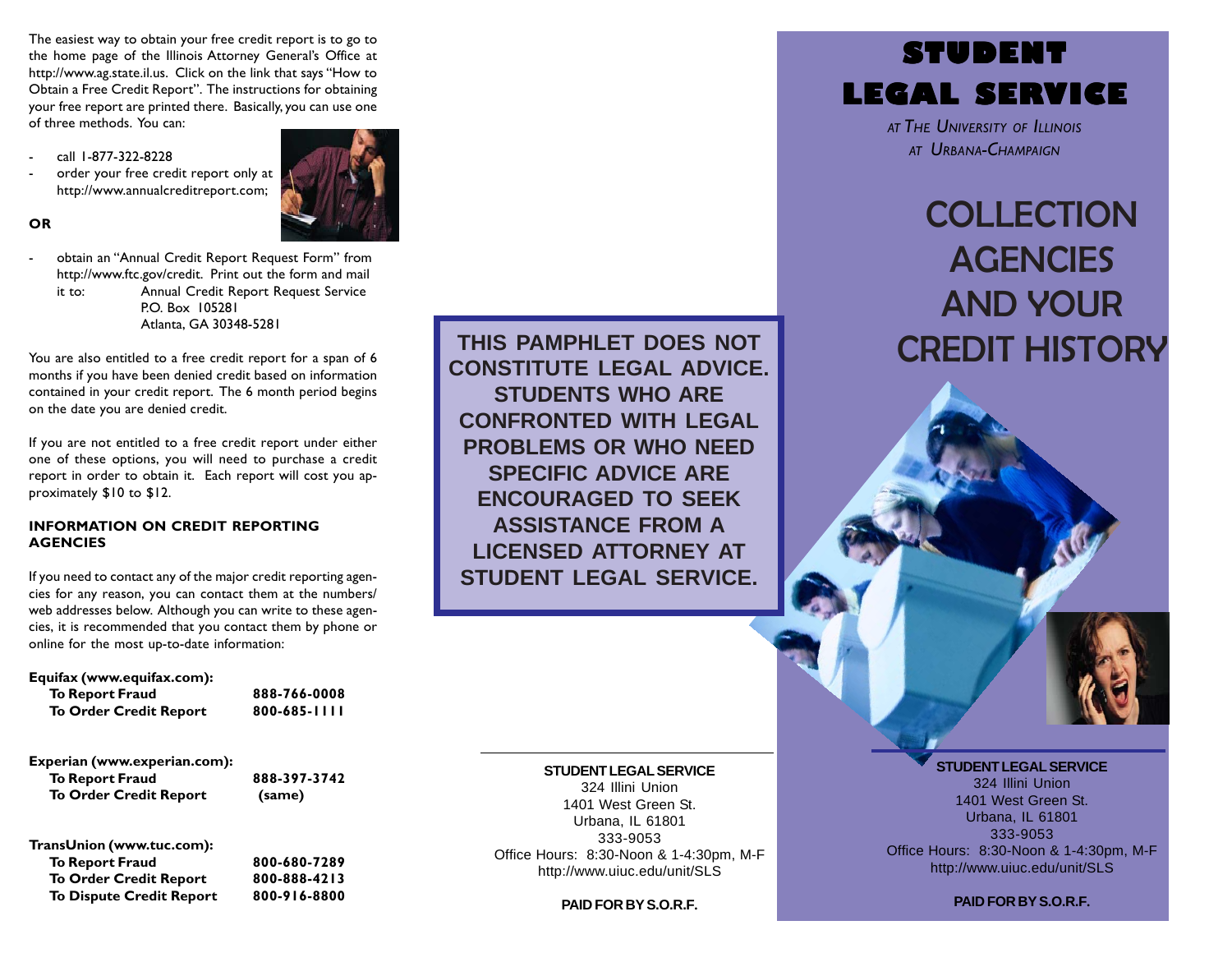The easiest way to obtain your free credit report is to go to the home page of the Illinois Attorney General's Office at http://www.ag.state.il.us. Click on the link that says "How to Obtain a Free Credit Report". The instructions for obtaining your free report are printed there. Basically, you can use one of three methods. You can:

- call 1-877-322-8228
- order your free credit report only at http://www.annualcreditreport.com;



## **OR**

 obtain an "Annual Credit Report Request Form" from http://www.ftc.gov/credit. Print out the form and mail it to: Annual Credit Report Request Service P.O. Box 105281 Atlanta, GA 30348-5281

You are also entitled to a free credit report for a span of 6 months if you have been denied credit based on information contained in your credit report. The 6 month period begins on the date you are denied credit.

If you are not entitled to a free credit report under either one of these options, you will need to purchase a credit report in order to obtain it. Each report will cost you approximately \$10 to \$12.

#### **INFORMATION ON CREDIT REPORTING AGENCIES**

If you need to contact any of the major credit reporting agencies for any reason, you can contact them at the numbers/ web addresses below. Although you can write to these agencies, it is recommended that you contact them by phone or online for the most up-to-date information:

#### **Equifax (www.equifax.com):**

| <b>To Report Fraud</b>        | 888-766-0008 |
|-------------------------------|--------------|
| <b>To Order Credit Report</b> | 800-685-1111 |
| Experian (www.experian.com):  |              |
| <b>To Report Fraud</b>        | 888-397-3742 |
| <b>To Order Credit Report</b> | (same)       |
|                               |              |

**TransUnion (www.tuc.com): To Report Fraud 800-680-7289 To Order Credit Report 800-888-4213 To Dispute Credit Report 800-916-8800**

**THIS PAMPHLET DOES NOT CONSTITUTE LEGAL ADVICE. STUDENTS WHO ARE CONFRONTED WITH LEGAL PROBLEMS OR WHO NEED SPECIFIC ADVICE ARE ENCOURAGED TO SEEK ASSISTANCE FROM A LICENSED ATTORNEY AT STUDENT LEGAL SERVICE.**

#### **STUDENT LEGAL SERVICE**

324 Illini Union 1401 West Green St. Urbana, IL 61801 333-9053 Office Hours: 8:30-Noon & 1-4:30pm, M-F http://www.uiuc.edu/unit/SLS

**PAID FOR BY S.O.R.F.**



*AT THE UNIVERSITY OF ILLINOIS AT URBANA-CHAMPAIGN*

# **COLLECTION AGENCIES** AND YOUR CREDIT HISTORY

#### **STUDENT LEGAL SERVICE**

324 Illini Union 1401 West Green St. Urbana, IL 61801 333-9053 Office Hours: 8:30-Noon & 1-4:30pm, M-F http://www.uiuc.edu/unit/SLS

**PAID FOR BY S.O.R.F.**